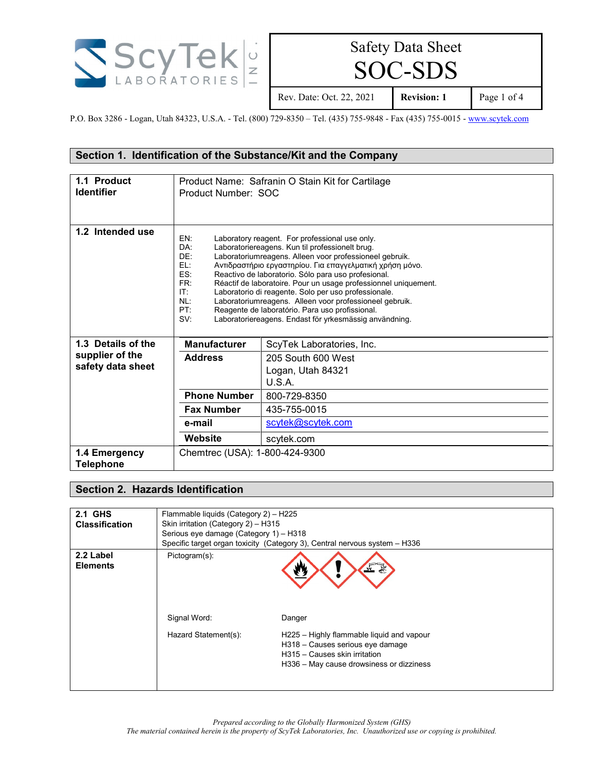

SOC-SDS

Rev. Date: Oct. 22, 2021 **Revision: 1** Page 1 of 4

P.O. Box 3286 - Logan, Utah 84323, U.S.A. - Tel. (800) 729-8350 – Tel. (435) 755-9848 - Fax (435) 755-0015 - [www.scytek.com](http://www.scytek.com/)

# **Section 1. Identification of the Substance/Kit and the Company**

| 1.1 Product<br><b>Identifier</b>     | Product Name: Safranin O Stain Kit for Cartilage<br>Product Number: SOC                                                                                                                                                                                                                                                                                                                                                                                                                                                                                                                                                                                  |                                                   |  |
|--------------------------------------|----------------------------------------------------------------------------------------------------------------------------------------------------------------------------------------------------------------------------------------------------------------------------------------------------------------------------------------------------------------------------------------------------------------------------------------------------------------------------------------------------------------------------------------------------------------------------------------------------------------------------------------------------------|---------------------------------------------------|--|
| 1.2 Intended use                     | EN:<br>Laboratory reagent. For professional use only.<br>DA:<br>Laboratoriereagens. Kun til professionelt brug.<br>DF:<br>Laboratoriumreagens. Alleen voor professioneel gebruik.<br>EL:<br>Αντιδραστήριο εργαστηρίου. Για επαγγελματική χρήση μόνο.<br>ES:<br>Reactivo de laboratorio. Sólo para uso profesional.<br>FR:<br>Réactif de laboratoire. Pour un usage professionnel uniquement.<br>IT:<br>Laboratorio di reagente. Solo per uso professionale.<br>NL:<br>Laboratoriumreagens. Alleen voor professioneel gebruik.<br>PT:<br>Reagente de laboratório. Para uso profissional.<br>SV:<br>Laboratoriereagens. Endast för yrkesmässig användning. |                                                   |  |
| 1.3 Details of the                   | <b>Manufacturer</b>                                                                                                                                                                                                                                                                                                                                                                                                                                                                                                                                                                                                                                      | ScyTek Laboratories, Inc.                         |  |
| supplier of the<br>safety data sheet | <b>Address</b>                                                                                                                                                                                                                                                                                                                                                                                                                                                                                                                                                                                                                                           | 205 South 600 West<br>Logan, Utah 84321<br>U.S.A. |  |
|                                      | <b>Phone Number</b>                                                                                                                                                                                                                                                                                                                                                                                                                                                                                                                                                                                                                                      | 800-729-8350                                      |  |
|                                      | <b>Fax Number</b>                                                                                                                                                                                                                                                                                                                                                                                                                                                                                                                                                                                                                                        | 435-755-0015                                      |  |
|                                      | e-mail                                                                                                                                                                                                                                                                                                                                                                                                                                                                                                                                                                                                                                                   | scytek@scytek.com                                 |  |
|                                      | Website                                                                                                                                                                                                                                                                                                                                                                                                                                                                                                                                                                                                                                                  | scytek.com                                        |  |
| 1.4 Emergency<br><b>Telephone</b>    | Chemtrec (USA): 1-800-424-9300                                                                                                                                                                                                                                                                                                                                                                                                                                                                                                                                                                                                                           |                                                   |  |

## **Section 2. Hazards Identification**

| 2.1 GHS                      | Flammable liquids (Category 2) - H225                                      |                                                                                                               |  |
|------------------------------|----------------------------------------------------------------------------|---------------------------------------------------------------------------------------------------------------|--|
| <b>Classification</b>        | Skin irritation (Category 2) - H315                                        |                                                                                                               |  |
|                              | Serious eye damage (Category 1) - H318                                     |                                                                                                               |  |
|                              | Specific target organ toxicity (Category 3), Central nervous system - H336 |                                                                                                               |  |
| 2.2 Label<br><b>Elements</b> | Pictogram(s):<br>Signal Word:<br>Hazard Statement(s):                      | $\sqrt{2}$<br>裂<br>Danger<br>H225 - Highly flammable liquid and vapour                                        |  |
|                              |                                                                            | H318 - Causes serious eye damage<br>H315 - Causes skin irritation<br>H336 - May cause drowsiness or dizziness |  |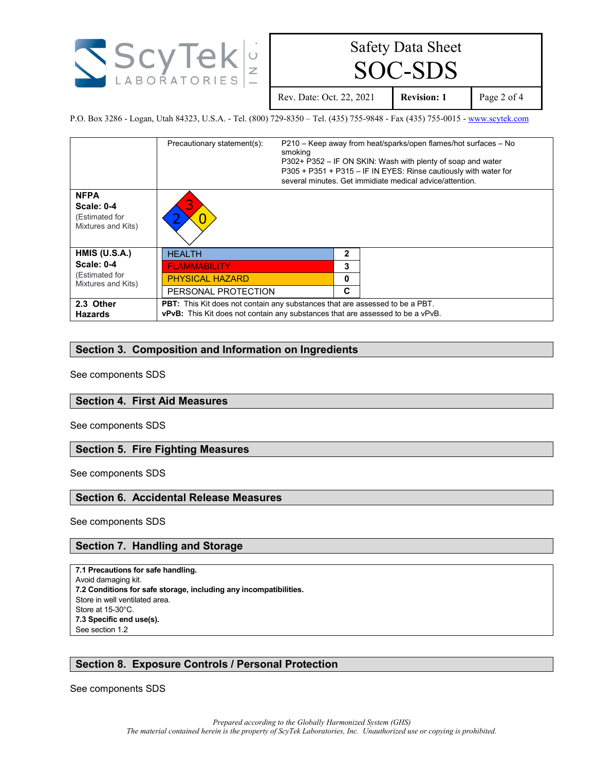

SOC-SDS

Rev. Date: Oct. 22, 2021 **Revision: 1** Page 2 of 4

P.O. Box 3286 - Logan, Utah 84323, U.S.A. - Tel. (800) 729-8350 – Tel. (435) 755-9848 - Fax (435) 755-0015 - [www.scytek.com](http://www.scytek.com/)

|                                                                          | Precautionary statement(s):                                                                                                                                           | smoking      | P210 – Keep away from heat/sparks/open flames/hot surfaces – No<br>P302+ P352 – IF ON SKIN: Wash with plenty of soap and water<br>P305 + P351 + P315 - IF IN EYES: Rinse cautiously with water for<br>several minutes. Get immidiate medical advice/attention. |
|--------------------------------------------------------------------------|-----------------------------------------------------------------------------------------------------------------------------------------------------------------------|--------------|----------------------------------------------------------------------------------------------------------------------------------------------------------------------------------------------------------------------------------------------------------------|
| <b>NFPA</b><br><b>Scale: 0-4</b><br>(Estimated for<br>Mixtures and Kits) |                                                                                                                                                                       |              |                                                                                                                                                                                                                                                                |
| HMIS (U.S.A.)                                                            | <b>HEALTH</b>                                                                                                                                                         | $\mathbf{2}$ |                                                                                                                                                                                                                                                                |
| <b>Scale: 0-4</b>                                                        | <b>FLAMMABILITY</b>                                                                                                                                                   | 3            |                                                                                                                                                                                                                                                                |
| (Estimated for<br>Mixtures and Kits)                                     | <b>PHYSICAL HAZARD</b>                                                                                                                                                |              |                                                                                                                                                                                                                                                                |
|                                                                          | PERSONAL PROTECTION                                                                                                                                                   |              |                                                                                                                                                                                                                                                                |
| 2.3 Other<br><b>Hazards</b>                                              | PBT: This Kit does not contain any substances that are assessed to be a PBT.<br><b>vPvB:</b> This Kit does not contain any substances that are assessed to be a vPvB. |              |                                                                                                                                                                                                                                                                |

## **Section 3. Composition and Information on Ingredients**

See components SDS

#### **Section 4. First Aid Measures**

See components SDS

#### **Section 5. Fire Fighting Measures**

See components SDS

## **Section 6. Accidental Release Measures**

See components SDS

#### **Section 7. Handling and Storage**

**7.1 Precautions for safe handling.** Avoid damaging kit. **7.2 Conditions for safe storage, including any incompatibilities.** Store in well ventilated area. Store at 15-30°C. **7.3 Specific end use(s).** See section 1.2

# **Section 8. Exposure Controls / Personal Protection**

See components SDS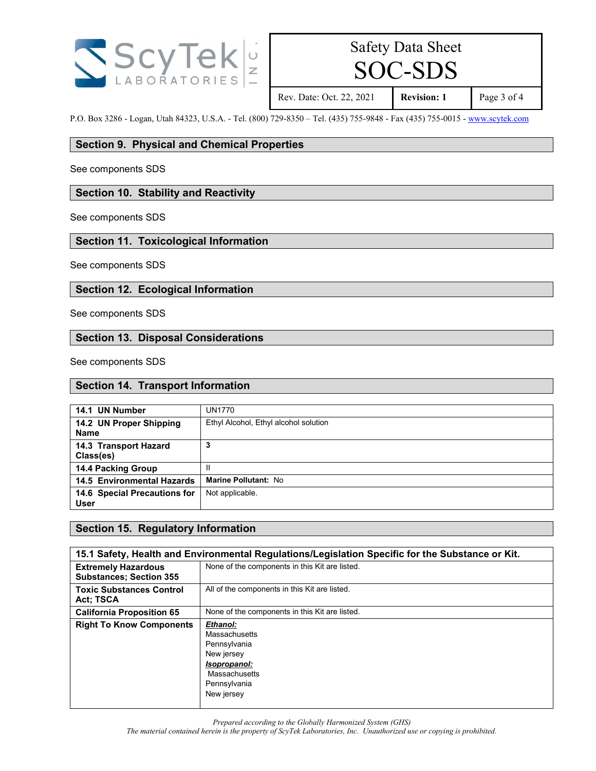

# SOC-SDS

Rev. Date: Oct. 22, 2021 **Revision: 1** Page 3 of 4

P.O. Box 3286 - Logan, Utah 84323, U.S.A. - Tel. (800) 729-8350 – Tel. (435) 755-9848 - Fax (435) 755-0015 - [www.scytek.com](http://www.scytek.com/)

### **Section 9. Physical and Chemical Properties**

See components SDS

### **Section 10. Stability and Reactivity**

See components SDS

# **Section 11. Toxicological Information**

See components SDS

# **Section 12. Ecological Information**

See components SDS

# **Section 13. Disposal Considerations**

See components SDS

#### **Section 14. Transport Information**

| 14.1 UN Number                              | UN1770                                |
|---------------------------------------------|---------------------------------------|
| 14.2 UN Proper Shipping<br><b>Name</b>      | Ethyl Alcohol, Ethyl alcohol solution |
| 14.3 Transport Hazard<br>Class(es)          |                                       |
| <b>14.4 Packing Group</b>                   | Ш                                     |
| <b>14.5 Environmental Hazards</b>           | Marine Pollutant: No                  |
| 14.6 Special Precautions for<br><b>User</b> | Not applicable.                       |

## **Section 15. Regulatory Information**

| 15.1 Safety, Health and Environmental Regulations/Legislation Specific for the Substance or Kit. |                                                                                                                        |  |
|--------------------------------------------------------------------------------------------------|------------------------------------------------------------------------------------------------------------------------|--|
| <b>Extremely Hazardous</b><br><b>Substances; Section 355</b>                                     | None of the components in this Kit are listed.                                                                         |  |
| <b>Toxic Substances Control</b><br><b>Act: TSCA</b>                                              | All of the components in this Kit are listed.                                                                          |  |
| <b>California Proposition 65</b>                                                                 | None of the components in this Kit are listed.                                                                         |  |
| <b>Right To Know Components</b>                                                                  | Ethanol:<br>Massachusetts<br>Pennsylvania<br>New jersey<br>Isopropanol:<br>Massachusetts<br>Pennsylvania<br>New jersey |  |

*Prepared according to the Globally Harmonized System (GHS)*

*The material contained herein is the property of ScyTek Laboratories, Inc. Unauthorized use or copying is prohibited.*